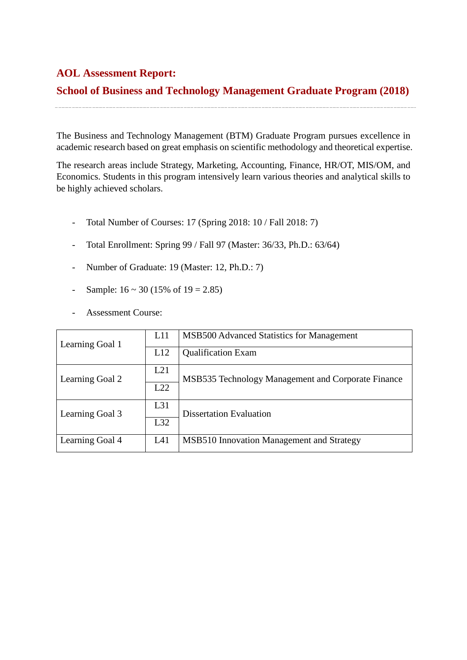## **AOL Assessment Report:**

## **School of Business and Technology Management Graduate Program (2018)**

The Business and Technology Management (BTM) Graduate Program pursues excellence in academic research based on great emphasis on scientific methodology and theoretical expertise.

The research areas include Strategy, Marketing, Accounting, Finance, HR/OT, MIS/OM, and Economics. Students in this program intensively learn various theories and analytical skills to be highly achieved scholars.

- Total Number of Courses: 17 (Spring 2018: 10 / Fall 2018: 7)
- Total Enrollment: Spring 99 / Fall 97 (Master: 36/33, Ph.D.: 63/64)
- Number of Graduate: 19 (Master: 12, Ph.D.: 7)
- Sample:  $16 \approx 30 (15\% \text{ of } 19 = 2.85)$
- Assessment Course:

| Learning Goal 1 | L11 | MSB500 Advanced Statistics for Management          |  |  |
|-----------------|-----|----------------------------------------------------|--|--|
|                 | L12 | <b>Qualification Exam</b>                          |  |  |
| Learning Goal 2 | L21 | MSB535 Technology Management and Corporate Finance |  |  |
|                 | L22 |                                                    |  |  |
| Learning Goal 3 | L31 | <b>Dissertation Evaluation</b>                     |  |  |
|                 | L32 |                                                    |  |  |
| Learning Goal 4 | L41 | MSB510 Innovation Management and Strategy          |  |  |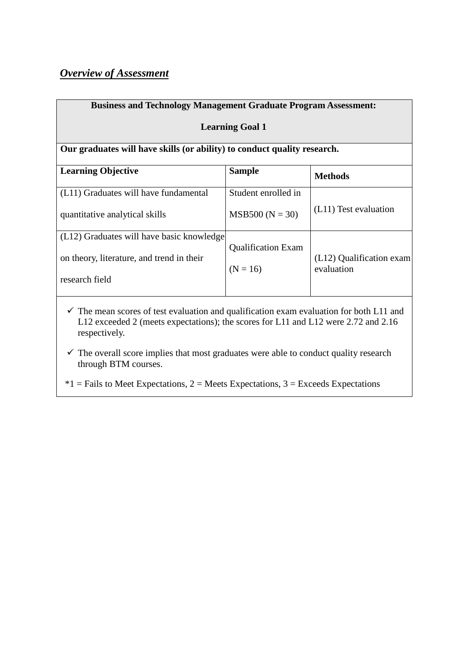## *Overview of Assessment*

| <b>Business and Technology Management Graduate Program Assessment:</b>   |                                         |                                        |  |  |  |
|--------------------------------------------------------------------------|-----------------------------------------|----------------------------------------|--|--|--|
| <b>Learning Goal 1</b>                                                   |                                         |                                        |  |  |  |
| Our graduates will have skills (or ability) to conduct quality research. |                                         |                                        |  |  |  |
| <b>Learning Objective</b>                                                | <b>Sample</b>                           | <b>Methods</b>                         |  |  |  |
| (L11) Graduates will have fundamental                                    | Student enrolled in                     |                                        |  |  |  |
| quantitative analytical skills                                           | $MSB500 (N = 30)$                       | (L11) Test evaluation                  |  |  |  |
| (L12) Graduates will have basic knowledge                                |                                         |                                        |  |  |  |
| on theory, literature, and trend in their                                | <b>Qualification Exam</b><br>$(N = 16)$ | (L12) Qualification exam<br>evaluation |  |  |  |
| research field                                                           |                                         |                                        |  |  |  |

 $\checkmark$  The mean scores of test evaluation and qualification exam evaluation for both L11 and L12 exceeded 2 (meets expectations); the scores for L11 and L12 were 2.72 and 2.16 respectively.

 $\checkmark$  The overall score implies that most graduates were able to conduct quality research through BTM courses.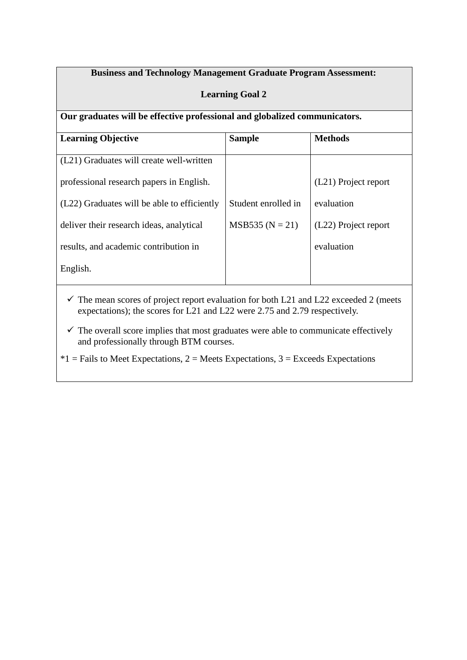## **Business and Technology Management Graduate Program Assessment:**

### **Learning Goal 2**

**Our graduates will be effective professional and globalized communicators.**

| <b>Learning Objective</b>                                                                        | <b>Sample</b>       | <b>Methods</b>       |
|--------------------------------------------------------------------------------------------------|---------------------|----------------------|
|                                                                                                  |                     |                      |
| (L21) Graduates will create well-written                                                         |                     |                      |
|                                                                                                  |                     |                      |
| professional research papers in English.                                                         |                     | (L21) Project report |
|                                                                                                  |                     |                      |
| (L22) Graduates will be able to efficiently                                                      | Student enrolled in | evaluation           |
|                                                                                                  |                     |                      |
| deliver their research ideas, analytical                                                         | $MSB535 (N = 21)$   | (L22) Project report |
|                                                                                                  |                     |                      |
| results, and academic contribution in                                                            |                     | evaluation           |
|                                                                                                  |                     |                      |
| English.                                                                                         |                     |                      |
|                                                                                                  |                     |                      |
|                                                                                                  |                     |                      |
| $\checkmark$ The mean scores of project report evaluation for both L21 and L22 exceeded 2 (meets |                     |                      |
| expectations); the scores for L21 and L22 were 2.75 and 2.79 respectively.                       |                     |                      |

 $\checkmark$  The overall score implies that most graduates were able to communicate effectively and professionally through BTM courses.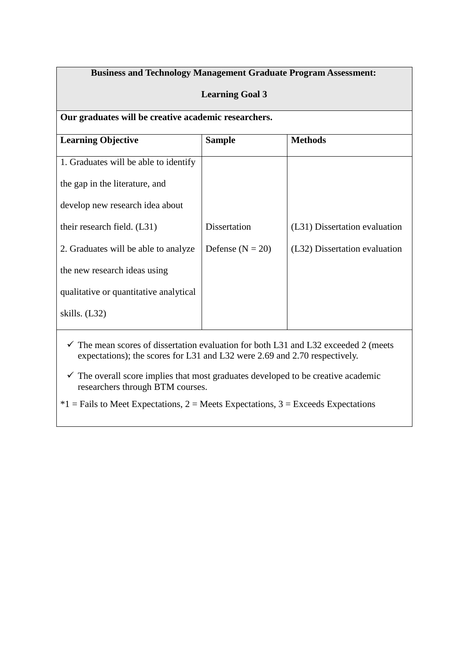## **Business and Technology Management Graduate Program Assessment:**

#### **Learning Goal 3**

|  |  | Our graduates will be creative academic researchers. |
|--|--|------------------------------------------------------|
|  |  |                                                      |

| <b>Learning Objective</b>              | <b>Sample</b>        | <b>Methods</b>                |
|----------------------------------------|----------------------|-------------------------------|
| 1. Graduates will be able to identify  |                      |                               |
| the gap in the literature, and         |                      |                               |
| develop new research idea about        |                      |                               |
| their research field. (L31)            | Dissertation         | (L31) Dissertation evaluation |
| 2. Graduates will be able to analyze   | Defense ( $N = 20$ ) | (L32) Dissertation evaluation |
| the new research ideas using           |                      |                               |
| qualitative or quantitative analytical |                      |                               |
| skills. (L32)                          |                      |                               |
|                                        |                      |                               |

 $\checkmark$  The mean scores of dissertation evaluation for both L31 and L32 exceeded 2 (meets expectations); the scores for L31 and L32 were 2.69 and 2.70 respectively.

 $\checkmark$  The overall score implies that most graduates developed to be creative academic researchers through BTM courses.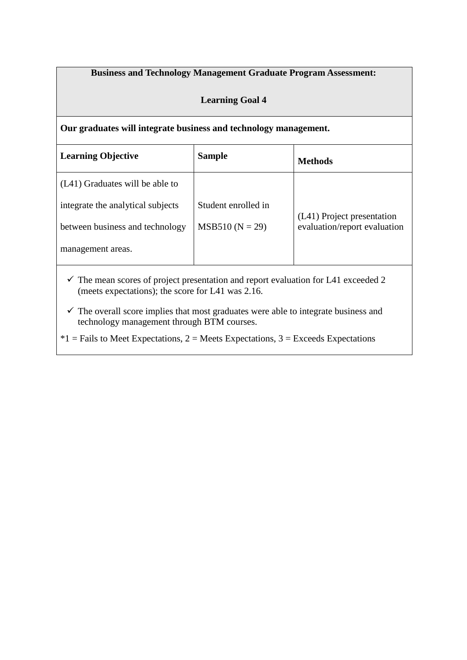### **Business and Technology Management Graduate Program Assessment:**

### **Learning Goal 4**

**Our graduates will integrate business and technology management.**

| <b>Learning Objective</b>         | <b>Sample</b>       | Methods                      |
|-----------------------------------|---------------------|------------------------------|
| (L41) Graduates will be able to   |                     |                              |
| integrate the analytical subjects | Student enrolled in | (L41) Project presentation   |
| between business and technology   | $MSB510 (N = 29)$   | evaluation/report evaluation |
| management areas.                 |                     |                              |
|                                   |                     |                              |

 $\checkmark$  The mean scores of project presentation and report evaluation for L41 exceeded 2 (meets expectations); the score for L41 was 2.16.

 $\checkmark$  The overall score implies that most graduates were able to integrate business and technology management through BTM courses.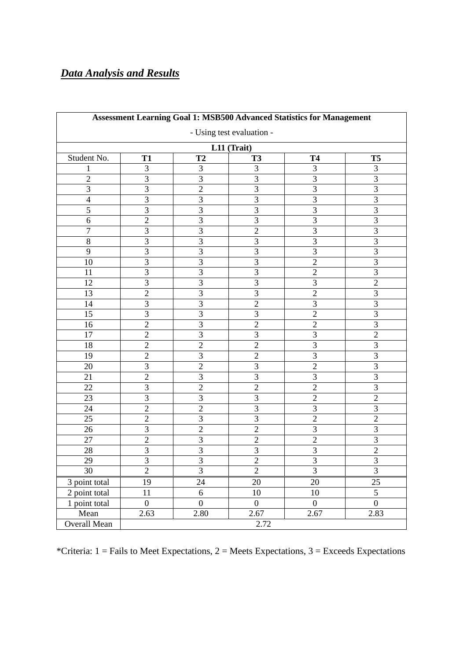# *Data Analysis and Results*

| Assessment Learning Goal 1: MSB500 Advanced Statistics for Management |                 |                |                |                |                         |  |  |
|-----------------------------------------------------------------------|-----------------|----------------|----------------|----------------|-------------------------|--|--|
| - Using test evaluation -                                             |                 |                |                |                |                         |  |  |
| L11 (Trait)                                                           |                 |                |                |                |                         |  |  |
| Student No.                                                           | <b>T1</b>       | T <sub>2</sub> | <b>T3</b>      | <b>T4</b>      | T5                      |  |  |
| 1                                                                     | 3               | 3              | 3              | 3              | 3                       |  |  |
| $\overline{2}$                                                        | 3               | 3              | 3              | 3              | 3                       |  |  |
| 3                                                                     | $\overline{3}$  | $\overline{2}$ | $\overline{3}$ | $\overline{3}$ | $\overline{3}$          |  |  |
| $\overline{4}$                                                        | $\overline{3}$  | 3              | $\overline{3}$ | $\overline{3}$ | $\overline{3}$          |  |  |
| 5                                                                     | 3               | 3              | 3              | 3              | $\mathfrak{Z}$          |  |  |
| 6                                                                     | $\overline{2}$  | 3              | 3              | 3              | $\overline{3}$          |  |  |
| $\tau$                                                                | 3               | 3              | $\overline{2}$ | $\overline{3}$ | $\overline{3}$          |  |  |
| 8                                                                     | 3               | 3              | 3              | 3              | 3                       |  |  |
| 9                                                                     | $\overline{3}$  | 3              | 3              | 3              | $\overline{\mathbf{3}}$ |  |  |
| 10                                                                    | $\overline{3}$  | 3              | $\overline{3}$ | $\overline{2}$ | $\overline{3}$          |  |  |
| 11                                                                    | 3               | 3              | 3              | $\overline{2}$ | $\overline{3}$          |  |  |
| 12                                                                    | 3               | 3              | 3              | $\mathfrak{Z}$ | $\sqrt{2}$              |  |  |
| 13                                                                    | $\overline{2}$  | 3              | $\overline{3}$ | $\overline{2}$ | $\overline{3}$          |  |  |
| 14                                                                    | $\overline{3}$  | 3              | $\overline{2}$ | $\overline{3}$ | $\overline{3}$          |  |  |
| 15                                                                    | 3               | 3              | 3              | $\overline{2}$ | $\overline{3}$          |  |  |
| 16                                                                    | $\overline{2}$  | 3              | $\overline{2}$ | $\overline{2}$ | 3                       |  |  |
| 17                                                                    | $\overline{2}$  | 3              | 3              | 3              | $\overline{2}$          |  |  |
| 18                                                                    | $\overline{2}$  | $\overline{2}$ | $\overline{2}$ | $\overline{3}$ | $\overline{3}$          |  |  |
| 19                                                                    | $\overline{2}$  | 3              | $\overline{2}$ | 3              | $\mathfrak{Z}$          |  |  |
| 20                                                                    | 3               | $\overline{2}$ | 3              | $\overline{2}$ | 3                       |  |  |
| 21                                                                    | $\overline{2}$  | 3              | 3              | $\mathfrak{Z}$ | $\mathfrak{Z}$          |  |  |
| 22                                                                    | 3               | $\overline{2}$ | $\overline{2}$ | $\overline{2}$ | $\overline{3}$          |  |  |
| 23                                                                    | $\overline{3}$  | 3              | 3              | $\overline{2}$ | $\overline{2}$          |  |  |
| 24                                                                    | $\overline{2}$  | $\overline{2}$ | 3              | 3              | $\overline{3}$          |  |  |
| 25                                                                    | $\overline{2}$  | 3              | 3              | $\overline{2}$ | $\overline{2}$          |  |  |
| 26                                                                    | 3               | $\overline{2}$ | $\overline{2}$ | 3              | 3                       |  |  |
| 27                                                                    | $\overline{2}$  | 3              | $\overline{2}$ | $\overline{2}$ | 3                       |  |  |
| 28                                                                    | 3               | 3              | 3              | 3              | $\overline{2}$          |  |  |
| 29                                                                    | 3               | $\mathfrak{Z}$ | $\overline{c}$ | $\overline{3}$ | $\mathfrak{Z}$          |  |  |
| 30                                                                    | $\overline{2}$  | $\overline{3}$ | $\overline{2}$ | $\overline{3}$ | $\overline{3}$          |  |  |
| 3 point total                                                         | 19              | 24             | $20\,$         | 20             | 25                      |  |  |
| 2 point total                                                         | $\overline{11}$ | $\sqrt{6}$     | 10             | 10             | $\overline{5}$          |  |  |
| 1 point total                                                         | $\overline{0}$  | $\overline{0}$ | $\overline{0}$ | $\overline{0}$ | $\overline{0}$          |  |  |
| Mean                                                                  | 2.63            | 2.80           | 2.67           | 2.67           | 2.83                    |  |  |
| Overall Mean                                                          |                 | 2.72           |                |                |                         |  |  |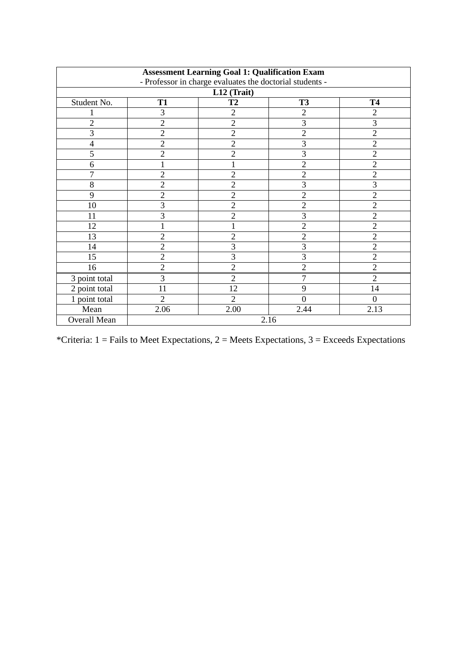| <b>Assessment Learning Goal 1: Qualification Exam</b><br>- Professor in charge evaluates the doctorial students - |                                                  |                |                |                |  |  |  |
|-------------------------------------------------------------------------------------------------------------------|--------------------------------------------------|----------------|----------------|----------------|--|--|--|
|                                                                                                                   | L12 (Trait)                                      |                |                |                |  |  |  |
| Student No.                                                                                                       | <b>T2</b><br><b>T1</b><br><b>T3</b><br><b>T4</b> |                |                |                |  |  |  |
|                                                                                                                   | 3                                                | $\overline{2}$ | $\overline{2}$ | 2              |  |  |  |
| 2                                                                                                                 | $\overline{c}$                                   | $\overline{2}$ | 3              | 3              |  |  |  |
| 3                                                                                                                 | $\overline{2}$                                   | $\overline{2}$ | $\overline{2}$ | $\overline{2}$ |  |  |  |
| 4                                                                                                                 | $\overline{2}$                                   | $\overline{2}$ | 3              | $\overline{2}$ |  |  |  |
| 5                                                                                                                 | $\overline{2}$                                   | $\overline{2}$ | 3              | $\overline{2}$ |  |  |  |
| 6                                                                                                                 | 1                                                |                | $\overline{2}$ | $\overline{2}$ |  |  |  |
| 7                                                                                                                 | $\overline{2}$                                   | $\overline{2}$ | $\overline{2}$ | $\overline{2}$ |  |  |  |
| 8                                                                                                                 | $\overline{c}$                                   | $\overline{2}$ | $\overline{3}$ | 3              |  |  |  |
| 9                                                                                                                 | $\overline{c}$                                   | $\overline{2}$ | $\overline{c}$ | $\overline{2}$ |  |  |  |
| 10                                                                                                                | 3                                                | $\overline{2}$ | $\overline{2}$ | $\overline{2}$ |  |  |  |
| 11                                                                                                                | 3                                                | $\overline{2}$ | 3              | $\overline{2}$ |  |  |  |
| 12                                                                                                                | 1                                                |                | $\overline{2}$ | $\overline{2}$ |  |  |  |
| 13                                                                                                                | $\overline{c}$                                   | $\overline{2}$ | $\overline{2}$ | $\overline{2}$ |  |  |  |
| 14                                                                                                                | $\overline{2}$                                   | 3              | 3              | $\overline{2}$ |  |  |  |
| 15                                                                                                                | $\overline{2}$                                   | 3              | $\overline{3}$ | $\overline{2}$ |  |  |  |
| 16                                                                                                                | $\overline{2}$                                   | $\overline{2}$ | $\overline{2}$ | $\overline{2}$ |  |  |  |
| 3 point total                                                                                                     | 3                                                | $\overline{2}$ | $\overline{7}$ | $\overline{2}$ |  |  |  |
| 2 point total                                                                                                     | 11                                               | 12             | 9              | 14             |  |  |  |
| 1 point total                                                                                                     | $\overline{2}$                                   | $\overline{2}$ | $\overline{0}$ | $\overline{0}$ |  |  |  |
| Mean                                                                                                              | 2.06                                             | 2.00           | 2.44           | 2.13           |  |  |  |
| Overall Mean                                                                                                      |                                                  |                | 2.16           |                |  |  |  |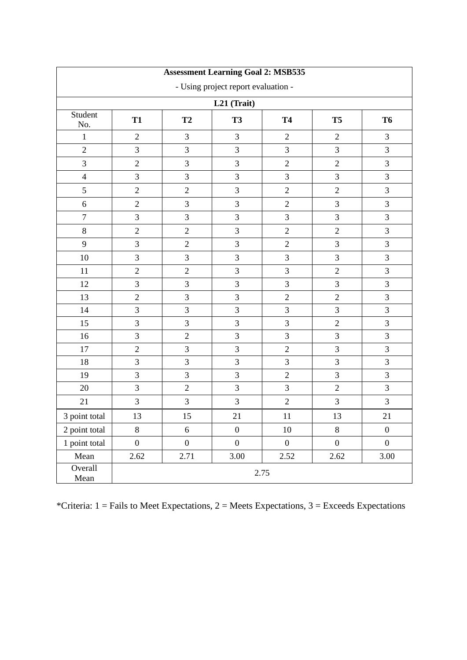| <b>Assessment Learning Goal 2: MSB535</b> |                                     |                  |                  |                  |                  |                  |  |
|-------------------------------------------|-------------------------------------|------------------|------------------|------------------|------------------|------------------|--|
|                                           | - Using project report evaluation - |                  |                  |                  |                  |                  |  |
|                                           |                                     |                  | L21 (Trait)      |                  |                  |                  |  |
| Student<br>No.                            | <b>T1</b>                           | T <sub>2</sub>   | <b>T3</b>        | <b>T4</b>        | T <sub>5</sub>   | T <sub>6</sub>   |  |
| $\,1$                                     | $\overline{2}$                      | $\overline{3}$   | 3                | $\mathbf{2}$     | $\overline{2}$   | 3                |  |
| $\overline{2}$                            | 3                                   | 3                | 3                | 3                | 3                | 3                |  |
| 3                                         | $\overline{2}$                      | 3                | 3                | $\overline{2}$   | $\overline{2}$   | 3                |  |
| $\overline{4}$                            | 3                                   | 3                | 3                | 3                | 3                | 3                |  |
| 5                                         | $\overline{2}$                      | $\overline{2}$   | 3                | $\overline{2}$   | $\overline{2}$   | 3                |  |
| 6                                         | $\overline{2}$                      | 3                | 3                | $\sqrt{2}$       | 3                | 3                |  |
| $\boldsymbol{7}$                          | 3                                   | 3                | 3                | 3                | 3                | 3                |  |
| $8\,$                                     | $\overline{2}$                      | $\sqrt{2}$       | 3                | $\sqrt{2}$       | $\sqrt{2}$       | $\mathfrak{Z}$   |  |
| 9                                         | 3                                   | $\overline{2}$   | 3                | $\overline{2}$   | 3                | 3                |  |
| 10                                        | 3                                   | 3                | 3                | $\mathfrak{Z}$   | 3                | $\overline{3}$   |  |
| 11                                        | $\mathbf{2}$                        | $\sqrt{2}$       | 3                | $\mathfrak{Z}$   | $\sqrt{2}$       | 3                |  |
| 12                                        | 3                                   | 3                | 3                | 3                | 3                | 3                |  |
| 13                                        | $\overline{2}$                      | 3                | 3                | $\sqrt{2}$       | $\sqrt{2}$       | 3                |  |
| 14                                        | 3                                   | 3                | 3                | 3                | 3                | 3                |  |
| 15                                        | 3                                   | 3                | 3                | 3                | $\overline{2}$   | 3                |  |
| 16                                        | 3                                   | $\overline{c}$   | 3                | 3                | 3                | 3                |  |
| 17                                        | $\overline{2}$                      | 3                | 3                | $\overline{2}$   | 3                | 3                |  |
| 18                                        | 3                                   | 3                | 3                | $\mathfrak{Z}$   | 3                | $\mathfrak{Z}$   |  |
| 19                                        | 3                                   | 3                | 3                | $\overline{2}$   | 3                | 3                |  |
| 20                                        | 3                                   | $\overline{2}$   | 3                | 3                | $\overline{2}$   | 3                |  |
| 21                                        | 3                                   | 3                | 3                | $\sqrt{2}$       | 3                | 3                |  |
| 3 point total                             | 13                                  | 15               | 21               | 11               | 13               | 21               |  |
| 2 point total                             | 8                                   | $\sqrt{6}$       | $\boldsymbol{0}$ | 10               | $8\,$            | $\boldsymbol{0}$ |  |
| 1 point total                             | $\boldsymbol{0}$                    | $\boldsymbol{0}$ | $\boldsymbol{0}$ | $\boldsymbol{0}$ | $\boldsymbol{0}$ | $\boldsymbol{0}$ |  |
| Mean                                      | 2.62                                | 2.71             | 3.00             | 2.52             | 2.62             | 3.00             |  |
| Overall<br>Mean                           | 2.75                                |                  |                  |                  |                  |                  |  |

\*Criteria:  $1 =$  Fails to Meet Expectations,  $2 =$  Meets Expectations,  $3 =$  Exceeds Expectations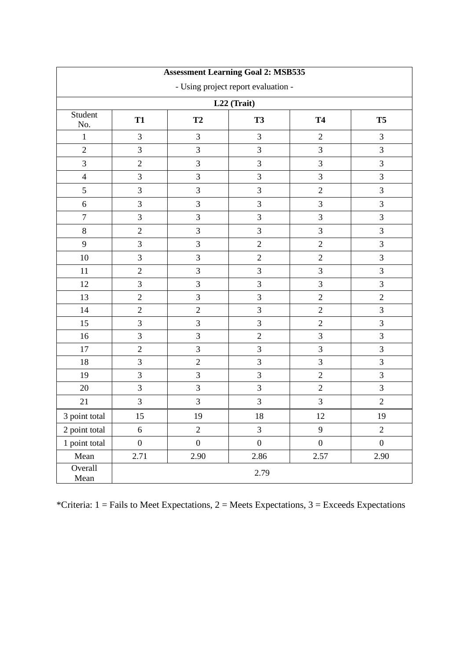| <b>Assessment Learning Goal 2: MSB535</b> |                                     |                  |                  |                  |                  |  |  |
|-------------------------------------------|-------------------------------------|------------------|------------------|------------------|------------------|--|--|
|                                           | - Using project report evaluation - |                  |                  |                  |                  |  |  |
| L22 (Trait)                               |                                     |                  |                  |                  |                  |  |  |
| Student<br>No.                            | <b>T1</b>                           | T <sub>2</sub>   | <b>T3</b>        | <b>T4</b>        | T <sub>5</sub>   |  |  |
| $\mathbf{1}$                              | 3                                   | 3                | 3                | $\overline{2}$   | 3                |  |  |
| $\overline{2}$                            | $\mathfrak{Z}$                      | 3                | 3                | 3                | 3                |  |  |
| 3                                         | $\overline{2}$                      | 3                | $\overline{3}$   | 3                | $\overline{3}$   |  |  |
| $\overline{4}$                            | $\mathfrak{Z}$                      | $\mathfrak{Z}$   | $\overline{3}$   | 3                | $\overline{3}$   |  |  |
| 5                                         | $\mathfrak{Z}$                      | $\mathfrak{Z}$   | $\mathfrak{Z}$   | $\sqrt{2}$       | 3                |  |  |
| $6\,$                                     | $\mathfrak{Z}$                      | 3                | $\overline{3}$   | 3                | 3                |  |  |
| $\boldsymbol{7}$                          | $\mathfrak{Z}$                      | 3                | $\mathfrak 3$    | 3                | 3                |  |  |
| 8                                         | $\overline{2}$                      | 3                | 3                | 3                | 3                |  |  |
| 9                                         | $\mathfrak{Z}$                      | 3                | $\overline{2}$   | $\overline{2}$   | 3                |  |  |
| 10                                        | $\mathfrak{Z}$                      | 3                | $\overline{2}$   | $\sqrt{2}$       | 3                |  |  |
| 11                                        | $\overline{2}$                      | 3                | 3                | 3                | $\overline{3}$   |  |  |
| 12                                        | 3                                   | 3                | 3                | 3                | 3                |  |  |
| 13                                        | $\overline{2}$                      | 3                | $\overline{3}$   | $\overline{2}$   | $\overline{2}$   |  |  |
| 14                                        | $\overline{2}$                      | $\sqrt{2}$       | $\overline{3}$   | $\overline{2}$   | 3                |  |  |
| 15                                        | $\mathfrak{Z}$                      | 3                | $\mathfrak{Z}$   | $\sqrt{2}$       | $\overline{3}$   |  |  |
| 16                                        | 3                                   | 3                | $\sqrt{2}$       | $\mathfrak{Z}$   | $\overline{3}$   |  |  |
| 17                                        | $\overline{2}$                      | $\overline{3}$   | $\mathfrak{Z}$   | 3                | $\overline{3}$   |  |  |
| 18                                        | 3                                   | $\overline{2}$   | $\overline{3}$   | 3                | $\overline{3}$   |  |  |
| 19                                        | $\mathfrak{Z}$                      | 3                | $\overline{3}$   | $\overline{2}$   | $\overline{3}$   |  |  |
| 20                                        | $\mathfrak{Z}$                      | 3                | $\overline{3}$   | $\overline{2}$   | $\overline{3}$   |  |  |
| 21                                        | $\mathfrak{Z}$                      | $\mathfrak{Z}$   | $\mathfrak{Z}$   | $\mathfrak{Z}$   | $\overline{2}$   |  |  |
| 3 point total                             | 15                                  | 19               | 18               | 12               | 19               |  |  |
| 2 point total                             | $\sqrt{6}$                          | $\overline{c}$   | $\mathfrak{Z}$   | 9                | $\overline{c}$   |  |  |
| 1 point total                             | $\boldsymbol{0}$                    | $\boldsymbol{0}$ | $\boldsymbol{0}$ | $\boldsymbol{0}$ | $\boldsymbol{0}$ |  |  |
| Mean                                      | 2.71                                | 2.90             | 2.86             | 2.57             | 2.90             |  |  |
| Overall<br>Mean                           | 2.79                                |                  |                  |                  |                  |  |  |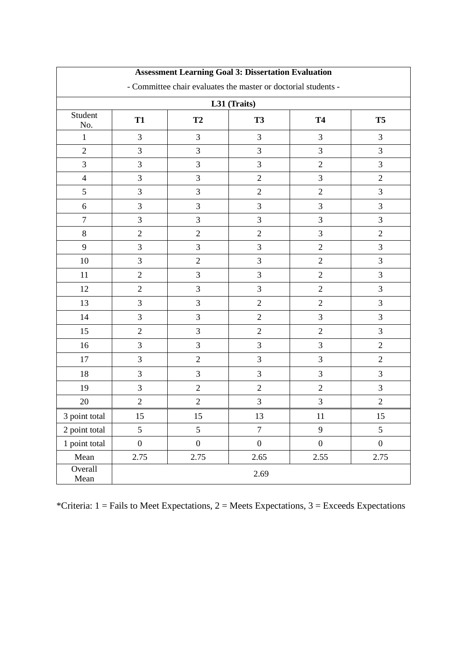| <b>Assessment Learning Goal 3: Dissertation Evaluation</b>     |                  |                  |                  |                  |                  |  |
|----------------------------------------------------------------|------------------|------------------|------------------|------------------|------------------|--|
| - Committee chair evaluates the master or doctorial students - |                  |                  |                  |                  |                  |  |
| L31 (Traits)                                                   |                  |                  |                  |                  |                  |  |
| Student<br>No.                                                 | <b>T1</b>        | T <sub>2</sub>   | <b>T3</b>        | <b>T4</b>        | T <sub>5</sub>   |  |
| 1                                                              | 3                | 3                | $\mathfrak{Z}$   | 3                | $\mathfrak{Z}$   |  |
| $\overline{2}$                                                 | $\mathfrak{Z}$   | 3                | 3                | $\mathfrak{Z}$   | $\mathfrak{Z}$   |  |
| 3                                                              | 3                | $\mathfrak{Z}$   | 3                | $\mathbf{2}$     | $\overline{3}$   |  |
| $\overline{4}$                                                 | $\overline{3}$   | 3                | $\sqrt{2}$       | $\mathfrak{Z}$   | $\overline{2}$   |  |
| 5                                                              | 3                | 3                | $\sqrt{2}$       | $\mathbf{2}$     | $\mathfrak{Z}$   |  |
| 6                                                              | 3                | 3                | 3                | 3                | 3                |  |
| $\overline{7}$                                                 | 3                | 3                | 3                | 3                | $\mathfrak{Z}$   |  |
| 8                                                              | $\overline{2}$   | $\sqrt{2}$       | $\sqrt{2}$       | 3                | $\overline{2}$   |  |
| 9                                                              | 3                | 3                | 3                | $\mathbf{2}$     | $\mathfrak{Z}$   |  |
| 10                                                             | 3                | $\sqrt{2}$       | $\mathfrak{Z}$   | $\overline{2}$   | $\overline{3}$   |  |
| 11                                                             | $\mathbf{2}$     | $\mathfrak{Z}$   | 3                | $\mathbf{2}$     | $\overline{3}$   |  |
| 12                                                             | $\overline{2}$   | 3                | $\mathfrak{Z}$   | $\mathbf{2}$     | $\overline{3}$   |  |
| 13                                                             | 3                | $\mathfrak{Z}$   | $\overline{2}$   | $\mathbf{2}$     | $\overline{3}$   |  |
| 14                                                             | 3                | 3                | $\overline{2}$   | 3                | 3                |  |
| 15                                                             | $\overline{2}$   | 3                | $\overline{2}$   | $\mathbf{2}$     | $\overline{3}$   |  |
| 16                                                             | 3                | 3                | 3                | 3                | $\overline{2}$   |  |
| 17                                                             | 3                | $\sqrt{2}$       | 3                | 3                | $\overline{2}$   |  |
| 18                                                             | 3                | 3                | 3                | 3                | 3                |  |
| 19                                                             | 3                | $\sqrt{2}$       | $\overline{2}$   | $\mathbf{2}$     | $\overline{3}$   |  |
| 20                                                             | $\overline{2}$   | $\overline{2}$   | 3                | 3                | $\overline{2}$   |  |
| 3 point total                                                  | $15\,$           | $15\,$           | $13\,$           | $11\,$           | 15               |  |
| 2 point total                                                  | 5                | 5                | $\overline{7}$   | 9                | 5                |  |
| 1 point total                                                  | $\boldsymbol{0}$ | $\boldsymbol{0}$ | $\boldsymbol{0}$ | $\boldsymbol{0}$ | $\boldsymbol{0}$ |  |
| Mean                                                           | 2.75             | 2.75             | 2.65             | 2.55             | 2.75             |  |
| Overall<br>Mean                                                | 2.69             |                  |                  |                  |                  |  |

## **Assessment Learning Goal 3: Dissertation Evaluation**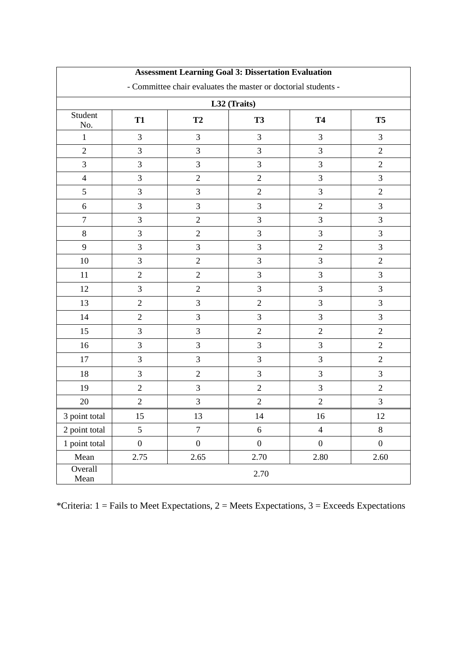| <b>Assessment Learning Goal 3: Dissertation Evaluation</b>     |                  |                  |                  |                  |                  |  |
|----------------------------------------------------------------|------------------|------------------|------------------|------------------|------------------|--|
| - Committee chair evaluates the master or doctorial students - |                  |                  |                  |                  |                  |  |
| L32 (Traits)                                                   |                  |                  |                  |                  |                  |  |
| Student<br>No.                                                 | <b>T1</b>        | T <sub>2</sub>   | <b>T3</b>        | <b>T4</b>        | T <sub>5</sub>   |  |
| 1                                                              | 3                | 3                | $\mathfrak{Z}$   | 3                | $\mathfrak{Z}$   |  |
| $\overline{2}$                                                 | $\mathfrak{Z}$   | 3                | 3                | $\mathfrak{Z}$   | $\overline{2}$   |  |
| 3                                                              | 3                | $\mathfrak{Z}$   | 3                | 3                | $\overline{2}$   |  |
| $\overline{4}$                                                 | $\overline{3}$   | $\sqrt{2}$       | $\sqrt{2}$       | $\mathfrak{Z}$   | 3                |  |
| 5                                                              | 3                | 3                | $\sqrt{2}$       | 3                | $\overline{2}$   |  |
| 6                                                              | 3                | 3                | 3                | $\sqrt{2}$       | 3                |  |
| $\overline{7}$                                                 | 3                | $\mathbf{2}$     | 3                | 3                | $\mathfrak{Z}$   |  |
| 8                                                              | 3                | $\sqrt{2}$       | 3                | 3                | 3                |  |
| 9                                                              | 3                | 3                | 3                | $\mathbf{2}$     | $\mathfrak{Z}$   |  |
| 10                                                             | 3                | $\sqrt{2}$       | $\mathfrak{Z}$   | 3                | $\overline{2}$   |  |
| 11                                                             | $\mathbf{2}$     | $\sqrt{2}$       | 3                | 3                | $\overline{3}$   |  |
| 12                                                             | 3                | $\sqrt{2}$       | $\mathfrak{Z}$   | 3                | $\overline{3}$   |  |
| 13                                                             | $\overline{2}$   | $\mathfrak{Z}$   | $\overline{2}$   | 3                | $\overline{3}$   |  |
| 14                                                             | $\mathbf{2}$     | 3                | 3                | 3                | 3                |  |
| 15                                                             | 3                | 3                | $\overline{2}$   | $\mathbf{2}$     | $\overline{2}$   |  |
| 16                                                             | 3                | 3                | 3                | 3                | $\overline{2}$   |  |
| 17                                                             | 3                | 3                | 3                | 3                | $\overline{2}$   |  |
| 18                                                             | 3                | $\sqrt{2}$       | 3                | $\mathfrak{Z}$   | 3                |  |
| 19                                                             | $\overline{2}$   | 3                | $\overline{2}$   | 3                | $\overline{2}$   |  |
| 20                                                             | $\overline{2}$   | 3                | $\overline{2}$   | $\overline{2}$   | $\overline{3}$   |  |
| 3 point total                                                  | 15               | $13\,$           | 14               | $16\,$           | 12               |  |
| 2 point total                                                  | 5                | $\overline{7}$   | 6                | $\overline{4}$   | $8\,$            |  |
| 1 point total                                                  | $\boldsymbol{0}$ | $\boldsymbol{0}$ | $\boldsymbol{0}$ | $\boldsymbol{0}$ | $\boldsymbol{0}$ |  |
| Mean                                                           | 2.75             | 2.65             | 2.70             | 2.80             | 2.60             |  |
| Overall<br>Mean                                                | 2.70             |                  |                  |                  |                  |  |

## **Assessment Learning Goal 3: Dissertation Evaluation**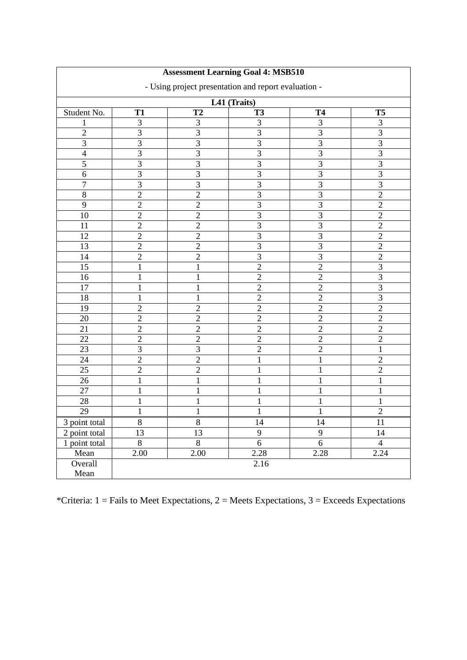| <b>Assessment Learning Goal 4: MSB510</b><br>- Using project presentation and report evaluation -<br>L41 (Traits) |                   |                |                |                |                |             |           |                |           |           |           |
|-------------------------------------------------------------------------------------------------------------------|-------------------|----------------|----------------|----------------|----------------|-------------|-----------|----------------|-----------|-----------|-----------|
|                                                                                                                   |                   |                |                |                |                | Student No. | <b>T1</b> | T <sub>2</sub> | <b>T3</b> | <b>T4</b> | <b>T5</b> |
|                                                                                                                   |                   |                |                |                |                | 1           | 3         | 3              | 3         | 3         | 3         |
| $\overline{c}$                                                                                                    | 3                 | $\overline{3}$ | 3              | $\overline{3}$ | $\overline{3}$ |             |           |                |           |           |           |
| 3                                                                                                                 | 3                 | 3              | $\overline{3}$ | 3              | 3              |             |           |                |           |           |           |
| $\overline{4}$                                                                                                    | 3                 | $\overline{3}$ | 3              | 3              | $\overline{3}$ |             |           |                |           |           |           |
| $\overline{5}$                                                                                                    | $\overline{3}$    | $\overline{3}$ | $\overline{3}$ | $\overline{3}$ | $\overline{3}$ |             |           |                |           |           |           |
| $\overline{6}$                                                                                                    | 3                 | $\overline{3}$ | 3              | $\overline{3}$ | $\overline{3}$ |             |           |                |           |           |           |
| $\overline{7}$                                                                                                    | 3                 | $\overline{3}$ | 3              | $\overline{3}$ | $\overline{3}$ |             |           |                |           |           |           |
| 8                                                                                                                 | $\overline{2}$    | $\overline{2}$ | $\overline{3}$ | $\overline{3}$ | $\overline{2}$ |             |           |                |           |           |           |
| 9                                                                                                                 | $\overline{2}$    | $\overline{c}$ | 3              | $\overline{3}$ | $\overline{2}$ |             |           |                |           |           |           |
| 10                                                                                                                | $\overline{2}$    | $\overline{2}$ | 3              | $\overline{3}$ | $\overline{2}$ |             |           |                |           |           |           |
| 11                                                                                                                | $\overline{2}$    | $\overline{c}$ | $\overline{3}$ | $\overline{3}$ | $\overline{2}$ |             |           |                |           |           |           |
| 12                                                                                                                | $\overline{2}$    | $\overline{2}$ | 3              | 3              | $\overline{2}$ |             |           |                |           |           |           |
| 13                                                                                                                | $\overline{2}$    | $\overline{c}$ | $\overline{3}$ | $\overline{3}$ | $\overline{2}$ |             |           |                |           |           |           |
| 14                                                                                                                | $\overline{2}$    | $\overline{c}$ | $\overline{3}$ | 3              | $\overline{2}$ |             |           |                |           |           |           |
| 15                                                                                                                | $\mathbf{1}$      | $\mathbf{1}$   | $\overline{c}$ | $\overline{2}$ | $\overline{3}$ |             |           |                |           |           |           |
| 16                                                                                                                | 1                 | $\mathbf{1}$   | $\overline{2}$ | $\sqrt{2}$     | $\overline{3}$ |             |           |                |           |           |           |
| 17                                                                                                                | 1                 | $\mathbf{1}$   | $\overline{2}$ | $\overline{2}$ | $\overline{3}$ |             |           |                |           |           |           |
| 18                                                                                                                | $\mathbf{1}$      | $\mathbf{1}$   | $\overline{2}$ | $\overline{2}$ | $\overline{3}$ |             |           |                |           |           |           |
| 19                                                                                                                | $\overline{2}$    | $\overline{2}$ | $\overline{2}$ | $\overline{2}$ | $\overline{2}$ |             |           |                |           |           |           |
| 20                                                                                                                | $\overline{2}$    | $\overline{2}$ | $\overline{2}$ | $\overline{2}$ | $\overline{2}$ |             |           |                |           |           |           |
| 21                                                                                                                | $\overline{2}$    | $\overline{c}$ | $\overline{c}$ | $\sqrt{2}$     | $\overline{2}$ |             |           |                |           |           |           |
| 22                                                                                                                | $\overline{2}$    | $\overline{2}$ | $\overline{2}$ | $\overline{2}$ | $\overline{2}$ |             |           |                |           |           |           |
| 23                                                                                                                | 3                 | 3              | $\overline{2}$ | $\overline{2}$ | $\mathbf{1}$   |             |           |                |           |           |           |
| 24                                                                                                                | $\overline{2}$    | $\overline{2}$ | $\mathbf{1}$   | $\mathbf{1}$   | $\overline{2}$ |             |           |                |           |           |           |
| 25                                                                                                                | $\overline{2}$    | $\overline{2}$ | 1              | $\mathbf 1$    | $\overline{2}$ |             |           |                |           |           |           |
| 26                                                                                                                | $\mathbf{1}$      | $\mathbf{1}$   | 1              | 1              | $\mathbf{1}$   |             |           |                |           |           |           |
| 27                                                                                                                | 1                 | 1              | 1              | 1              | $\mathbf{1}$   |             |           |                |           |           |           |
| 28                                                                                                                | 1                 | 1              | 1              | 1              | 1              |             |           |                |           |           |           |
| 29                                                                                                                | $\mathbf{1}$      | $\mathbf{1}$   | 1              | $\mathbf{1}$   | $\overline{2}$ |             |           |                |           |           |           |
| 3 point total                                                                                                     | $8\,$             | $8\,$          | 14             | 14             | 11             |             |           |                |           |           |           |
| 2 point total                                                                                                     | 13                | 13             | 9              | 9              | 14             |             |           |                |           |           |           |
| 1 point total                                                                                                     | 8                 | 8              | 6              | 6              | $\overline{4}$ |             |           |                |           |           |           |
| Mean                                                                                                              | $\overline{2.00}$ | 2.00           | 2.28           | 2.28           | 2.24           |             |           |                |           |           |           |
| Overall                                                                                                           |                   |                | 2.16           |                |                |             |           |                |           |           |           |
| Mean                                                                                                              |                   |                |                |                |                |             |           |                |           |           |           |
|                                                                                                                   |                   |                |                |                |                |             |           |                |           |           |           |

## **Assessment Learning Goal 4: MSB510**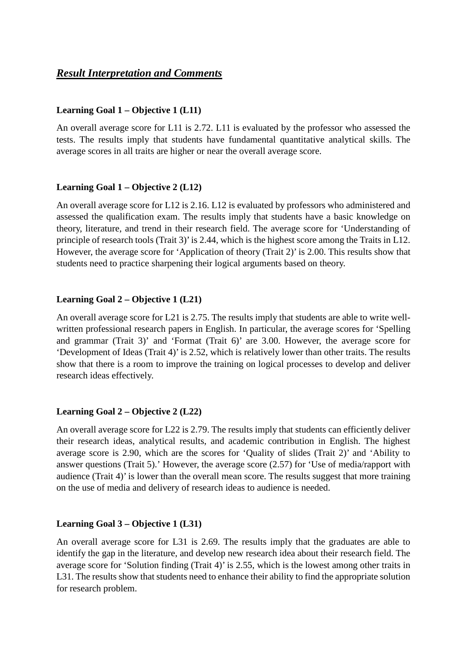## *Result Interpretation and Comments*

#### **Learning Goal 1 – Objective 1 (L11)**

An overall average score for L11 is 2.72. L11 is evaluated by the professor who assessed the tests. The results imply that students have fundamental quantitative analytical skills. The average scores in all traits are higher or near the overall average score.

### **Learning Goal 1 – Objective 2 (L12)**

An overall average score for L12 is 2.16. L12 is evaluated by professors who administered and assessed the qualification exam. The results imply that students have a basic knowledge on theory, literature, and trend in their research field. The average score for 'Understanding of principle of research tools (Trait 3)' is 2.44, which is the highest score among the Traits in L12. However, the average score for 'Application of theory (Trait 2)' is 2.00. This results show that students need to practice sharpening their logical arguments based on theory.

#### **Learning Goal 2 – Objective 1 (L21)**

An overall average score for L21 is 2.75. The results imply that students are able to write wellwritten professional research papers in English. In particular, the average scores for 'Spelling and grammar (Trait 3)' and 'Format (Trait 6)' are 3.00. However, the average score for 'Development of Ideas (Trait 4)' is 2.52, which is relatively lower than other traits. The results show that there is a room to improve the training on logical processes to develop and deliver research ideas effectively.

### **Learning Goal 2 – Objective 2 (L22)**

An overall average score for L22 is 2.79. The results imply that students can efficiently deliver their research ideas, analytical results, and academic contribution in English. The highest average score is 2.90, which are the scores for 'Quality of slides (Trait 2)' and 'Ability to answer questions (Trait 5).' However, the average score (2.57) for 'Use of media/rapport with audience (Trait 4)' is lower than the overall mean score. The results suggest that more training on the use of media and delivery of research ideas to audience is needed.

#### **Learning Goal 3 – Objective 1 (L31)**

An overall average score for L31 is 2.69. The results imply that the graduates are able to identify the gap in the literature, and develop new research idea about their research field. The average score for 'Solution finding (Trait 4)' is 2.55, which is the lowest among other traits in L31. The results show that students need to enhance their ability to find the appropriate solution for research problem.